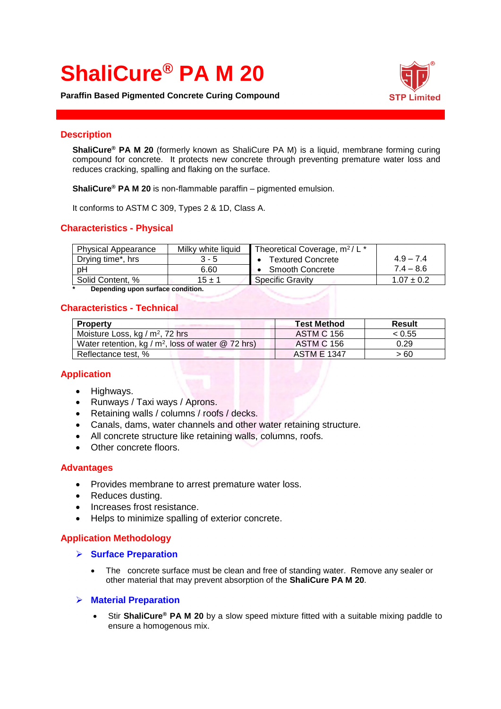# **ShaliCure® PA M 20**

**Paraffin Based Pigmented Concrete Curing Compound**



#### **Description**

**ShaliCure® PA M 20** (formerly known as ShaliCure PA M) is a liquid, membrane forming curing compound for concrete. It protects new concrete through preventing premature water loss and reduces cracking, spalling and flaking on the surface.

**ShaliCure® PA M 20** is non-flammable paraffin – pigmented emulsion.

It conforms to ASTM C 309, Types 2 & 1D, Class A.

# **Characteristics - Physical**

| <b>Physical Appearance</b> | Milky white liquid | Theoretical Coverage, m <sup>2</sup> / L <sup>*</sup> |                |
|----------------------------|--------------------|-------------------------------------------------------|----------------|
| Drying time*, hrs          | 3 - 5              | • Textured Concrete                                   | $4.9 - 7.4$    |
| pH                         | 6.60               | • Smooth Concrete                                     | $7.4 - 8.6$    |
| Solid Content, %           | $15 \pm 1$         | Specific Gravity                                      | $1.07 \pm 0.2$ |

**\* Depending upon surface condition.**

# **Characteristics - Technical**

| <b>Property</b>                                       | <b>Test Method</b> | Result |
|-------------------------------------------------------|--------------------|--------|
| Moisture Loss, kg / $m^2$ , 72 hrs                    | <b>ASTM C 156</b>  | < 0.55 |
| Water retention, kg / $m^2$ , loss of water @ 72 hrs) | <b>ASTM C 156</b>  | 0.29   |
| Reflectance test, %                                   | <b>ASTM E 1347</b> | > 60   |

# **Application**

- Highways.
- Runways / Taxi ways / Aprons.
- Retaining walls / columns / roofs / decks.
- Canals, dams, water channels and other water retaining structure.
- All concrete structure like retaining walls, columns, roofs.
- Other concrete floors.

#### **Advantages**

- Provides membrane to arrest premature water loss.
- Reduces dusting.
- Increases frost resistance.
- Helps to minimize spalling of exterior concrete.

#### **Application Methodology**

#### ➢ **Surface Preparation**

The concrete surface must be clean and free of standing water. Remove any sealer or other material that may prevent absorption of the **ShaliCure PA M 20**.

#### ➢ **Material Preparation**

• Stir **ShaliCure® PA M 20** by a slow speed mixture fitted with a suitable mixing paddle to ensure a homogenous mix.